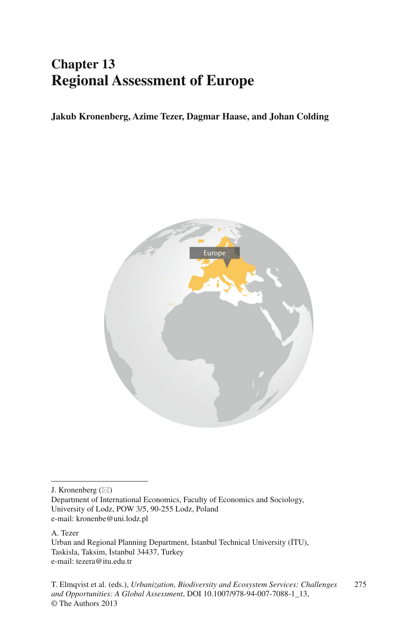## **Chapter 13 Regional Assessment of Europe**

 **Jakub Kronenberg, Azime Tezer, Dagmar Haase, and Johan Colding** 



J. Kronenberg  $(\boxtimes)$ 

A. Tezer

Urban and Regional Planning Department, İstanbul Technical University (İTU), Taskisla, Taksim, İstanbul 34437, Turkey e-mail: tezera@itu.edu.tr

Department of International Economics, Faculty of Economics and Sociology, University of Lodz, POW 3/5, 90-255 Lodz, Poland e-mail: kronenbe@uni.lodz.pl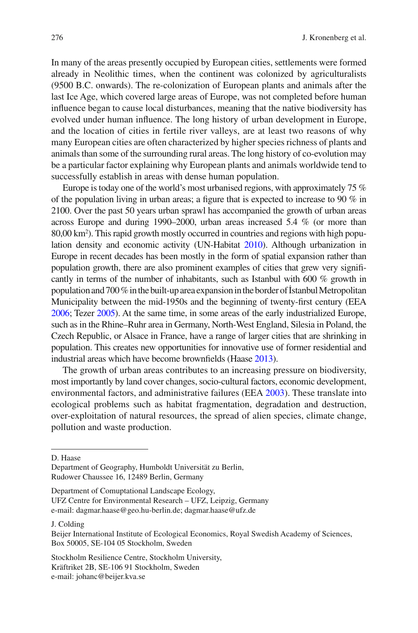In many of the areas presently occupied by European cities, settlements were formed already in Neolithic times, when the continent was colonized by agriculturalists (9500 B.C. onwards). The re-colonization of European plants and animals after the last Ice Age, which covered large areas of Europe, was not completed before human influence began to cause local disturbances, meaning that the native biodiversity has evolved under human influence. The long history of urban development in Europe, and the location of cities in fertile river valleys, are at least two reasons of why many European cities are often characterized by higher species richness of plants and animals than some of the surrounding rural areas. The long history of co-evolution may be a particular factor explaining why European plants and animals worldwide tend to successfully establish in areas with dense human population.

 Europe is today one of the world's most urbanised regions, with approximately 75 % of the population living in urban areas; a figure that is expected to increase to 90  $\%$  in 2100. Over the past 50 years urban sprawl has accompanied the growth of urban areas across Europe and during 1990–2000, urban areas increased 5.4 % (or more than 80,00 km<sup>2</sup>). This rapid growth mostly occurred in countries and regions with high popu-lation density and economic activity (UN-Habitat [2010](#page-3-0)). Although urbanization in Europe in recent decades has been mostly in the form of spatial expansion rather than population growth, there are also prominent examples of cities that grew very significantly in terms of the number of inhabitants, such as Istanbul with 600 % growth in population and 700 % in the built-up area expansion in the border of İstanbul Metropolitan Municipality between the mid-1950s and the beginning of twenty-first century (EEA [2006](#page-3-0); Tezer [2005](#page-3-0)). At the same time, in some areas of the early industrialized Europe, such as in the Rhine–Ruhr area in Germany, North-West England, Silesia in Poland, the Czech Republic, or Alsace in France, have a range of larger cities that are shrinking in population. This creates new opportunities for innovative use of former residential and industrial areas which have become brownfields (Haase [2013](#page-3-0)).

 The growth of urban areas contributes to an increasing pressure on biodiversity, most importantly by land cover changes, socio-cultural factors, economic development, environmental factors, and administrative failures (EEA [2003](#page-3-0)). These translate into ecological problems such as habitat fragmentation, degradation and destruction, over-exploitation of natural resources, the spread of alien species, climate change, pollution and waste production.

D. Haase

Department of Comuptational Landscape Ecology, UFZ Centre for Environmental Research - UFZ, Leipzig, Germany e-mail: dagmar.haase@geo.hu-berlin.de; dagmar.haase@ufz.de

J. Colding

Department of Geography, Humboldt Universität zu Berlin, Rudower Chaussee 16, 12489 Berlin, Germany

Beijer International Institute of Ecological Economics , Royal Swedish Academy of Sciences , Box 50005, SE-104 05 Stockholm, Sweden

Stockholm Resilience Centre, Stockholm University, Kräftriket 2B, SE-106 91 Stockholm, Sweden e-mail: johanc@beijer.kva.se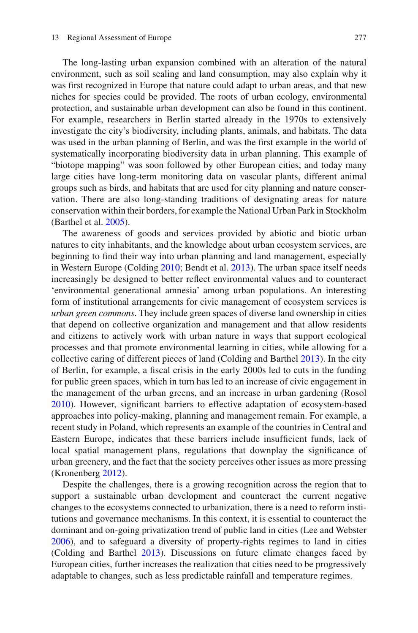The long-lasting urban expansion combined with an alteration of the natural environment, such as soil sealing and land consumption, may also explain why it was first recognized in Europe that nature could adapt to urban areas, and that new niches for species could be provided. The roots of urban ecology, environmental protection, and sustainable urban development can also be found in this continent. For example, researchers in Berlin started already in the 1970s to extensively investigate the city's biodiversity, including plants, animals, and habitats. The data was used in the urban planning of Berlin, and was the first example in the world of systematically incorporating biodiversity data in urban planning. This example of "biotope mapping" was soon followed by other European cities, and today many large cities have long-term monitoring data on vascular plants, different animal groups such as birds, and habitats that are used for city planning and nature conservation. There are also long-standing traditions of designating areas for nature conservation within their borders, for example the National Urban Park in Stockholm  $(Barthel et al. 2005).$  $(Barthel et al. 2005).$  $(Barthel et al. 2005).$ 

 The awareness of goods and services provided by abiotic and biotic urban natures to city inhabitants, and the knowledge about urban ecosystem services, are beginning to find their way into urban planning and land management, especially in Western Europe (Colding [2010](#page-3-0); Bendt et al. [2013](#page-3-0)). The urban space itself needs increasingly be designed to better reflect environmental values and to counteract 'environmental generational amnesia' among urban populations. An interesting form of institutional arrangements for civic management of ecosystem services is *urban green commons* . They include green spaces of diverse land ownership in cities that depend on collective organization and management and that allow residents and citizens to actively work with urban nature in ways that support ecological processes and that promote environmental learning in cities, while allowing for a collective caring of different pieces of land (Colding and Barthel [2013 \)](#page-3-0). In the city of Berlin, for example, a fiscal crisis in the early  $2000s$  led to cuts in the funding for public green spaces, which in turn has led to an increase of civic engagement in the management of the urban greens, and an increase in urban gardening (Rosol  $2010$ ). However, significant barriers to effective adaptation of ecosystem-based approaches into policy-making, planning and management remain. For example, a recent study in Poland, which represents an example of the countries in Central and Eastern Europe, indicates that these barriers include insufficient funds, lack of local spatial management plans, regulations that downplay the significance of urban greenery, and the fact that the society perceives other issues as more pressing  $(Kronenberg 2012)$  $(Kronenberg 2012)$  $(Kronenberg 2012)$ .

 Despite the challenges, there is a growing recognition across the region that to support a sustainable urban development and counteract the current negative changes to the ecosystems connected to urbanization, there is a need to reform institutions and governance mechanisms. In this context, it is essential to counteract the dominant and on-going privatization trend of public land in cities (Lee and Webster [2006 \)](#page-3-0), and to safeguard a diversity of property-rights regimes to land in cities (Colding and Barthel 2013). Discussions on future climate changes faced by European cities, further increases the realization that cities need to be progressively adaptable to changes, such as less predictable rainfall and temperature regimes.